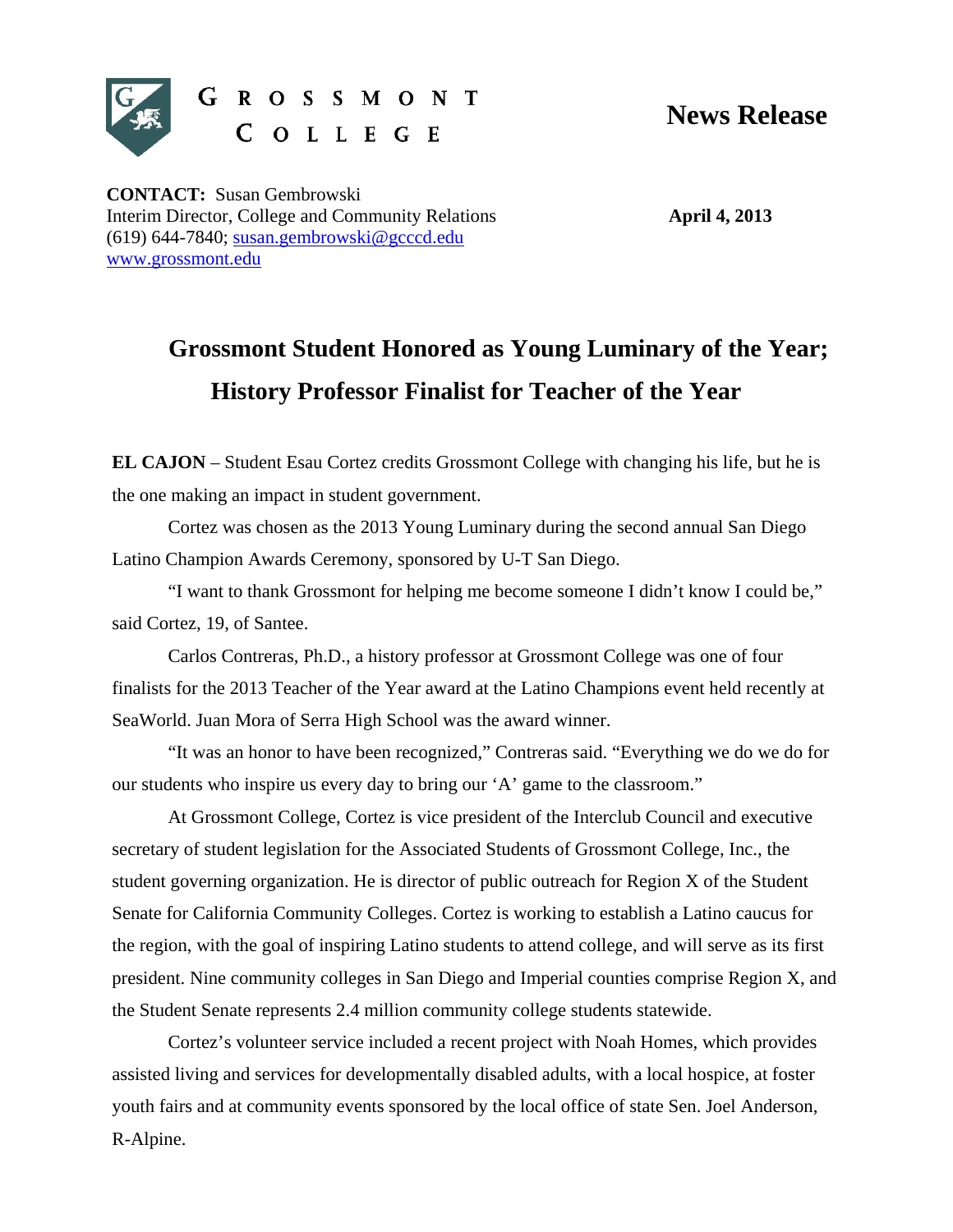

 **News Release**

**CONTACT:** Susan Gembrowski Interim Director, College and Community Relations (619) 644-7840; susan.gembrowski@gcccd.edu www.grossmont.edu

**April 4, 2013** 

## **Grossmont Student Honored as Young Luminary of the Year; History Professor Finalist for Teacher of the Year**

**EL CAJON** – Student Esau Cortez credits Grossmont College with changing his life, but he is the one making an impact in student government.

 Cortez was chosen as the 2013 Young Luminary during the second annual San Diego Latino Champion Awards Ceremony, sponsored by U-T San Diego.

 "I want to thank Grossmont for helping me become someone I didn't know I could be," said Cortez, 19, of Santee.

 Carlos Contreras, Ph.D., a history professor at Grossmont College was one of four finalists for the 2013 Teacher of the Year award at the Latino Champions event held recently at SeaWorld. Juan Mora of Serra High School was the award winner.

"It was an honor to have been recognized," Contreras said. "Everything we do we do for our students who inspire us every day to bring our 'A' game to the classroom."

At Grossmont College, Cortez is vice president of the Interclub Council and executive secretary of student legislation for the Associated Students of Grossmont College, Inc., the student governing organization. He is director of public outreach for Region X of the Student Senate for California Community Colleges. Cortez is working to establish a Latino caucus for the region, with the goal of inspiring Latino students to attend college, and will serve as its first president. Nine community colleges in San Diego and Imperial counties comprise Region X, and the Student Senate represents 2.4 million community college students statewide.

Cortez's volunteer service included a recent project with Noah Homes, which provides assisted living and services for developmentally disabled adults, with a local hospice, at foster youth fairs and at community events sponsored by the local office of state Sen. Joel Anderson, R-Alpine.